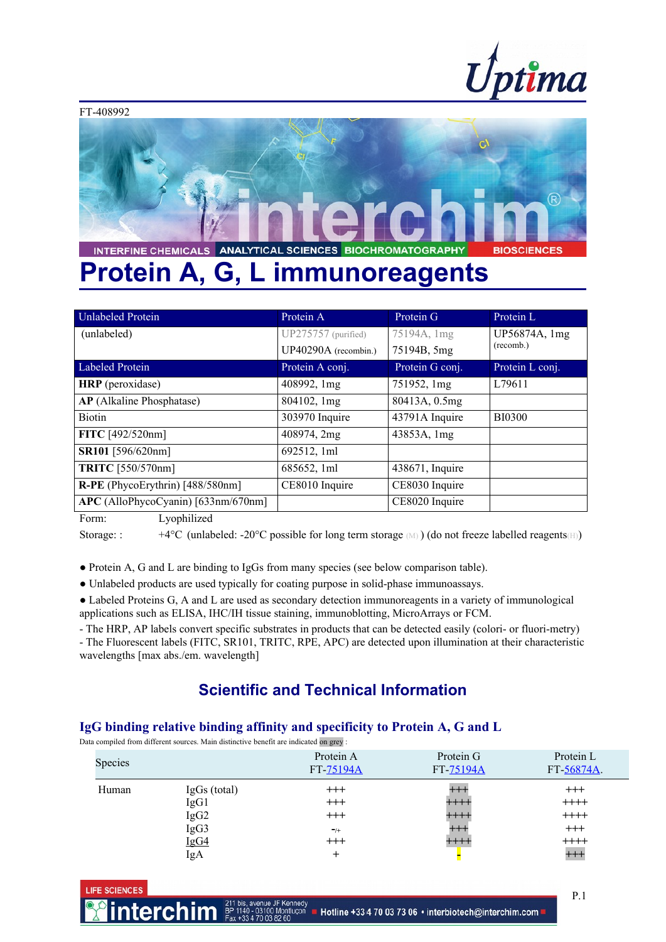



# **Protein A, G, L immunoreagents**

| Protein A             | Protein G       | Protein L       |  |
|-----------------------|-----------------|-----------------|--|
| $UP275757$ (purified) | 75194A, 1mg     | UP56874A, 1mg   |  |
| UP40290A (recombin.)  | 75194B, 5mg     | (recomb.)       |  |
| Protein A conj.       | Protein G conj. | Protein L conj. |  |
| 408992, 1mg           | 751952, 1mg     | L79611          |  |
| 804102, 1mg           | 80413A, 0.5mg   |                 |  |
| 303970 Inquire        | 43791A Inquire  | <b>BI0300</b>   |  |
| 408974, 2mg           | 43853A, 1mg     |                 |  |
| 692512, 1ml           |                 |                 |  |
| 685652, 1ml           | 438671, Inquire |                 |  |
| CE8010 Inquire        | CE8030 Inquire  |                 |  |
|                       | CE8020 Inquire  |                 |  |
|                       |                 |                 |  |

Form: Lyophilized

Storage: :  $+4^{\circ}C$  (unlabeled: -20°C possible for long term storage  $(M)$ ) (do not freeze labelled reagents(H))

**●** Protein A, G and L are binding to IgGs from many species (see below comparison table).

● Unlabeled products are used typically for coating purpose in solid-phase immunoassays.

● Labeled Proteins G, A and L are used as secondary detection immunoreagents in a variety of immunological applications such as ELISA, IHC/IH tissue staining, immunoblotting, MicroArrays or FCM.

- The HRP, AP labels convert specific substrates in products that can be detected easily (colori- or fluori-metry) - The Fluorescent labels (FITC, SR101, TRITC, RPE, APC) are detected upon illumination at their characteristic

wavelengths [max abs./em. wavelength]

## **Scientific and Technical Information**

### **IgG binding relative binding affinity and specificity to Protein A, G and L**

Data compiled from different sources. Main distinctive benefit are indicated on grey :

|         |                  | <br>$\sim$ $\sim$      |                        |                         |
|---------|------------------|------------------------|------------------------|-------------------------|
| Species |                  | Protein A<br>FT-75194A | Protein G<br>FT-75194A | Protein L<br>FT 56874A. |
| Human   | $IgGs$ (total)   | $^{+++}$               | $++$                   | $^{+++}$                |
|         | IgG1             | $^{+++}$               | $+++++$                | $++++$                  |
|         | IgG <sub>2</sub> | $^{+++}$               | $++++$                 | $++++$                  |
|         | IgG3             | $-$ /+                 | $++++$                 | $+++$                   |
|         | IgG4             | $++++$                 | $+++++$                | $++++$                  |
|         | IgA              | +                      |                        | $^{+++}$                |

**LIFE SCIENCES**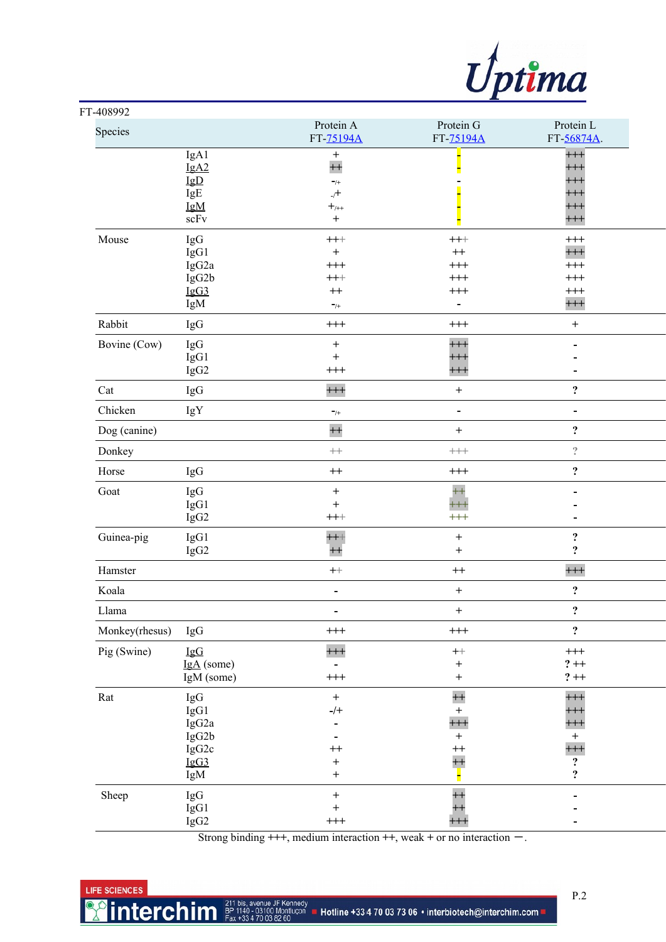

| FT-408992            |                                                                  |                                                                                                                                                          |                                                                           |                                                                                                         |
|----------------------|------------------------------------------------------------------|----------------------------------------------------------------------------------------------------------------------------------------------------------|---------------------------------------------------------------------------|---------------------------------------------------------------------------------------------------------|
| Species              |                                                                  | Protein A<br>FT-75194A                                                                                                                                   | Protein G<br>FT-75194A                                                    | Protein L<br>FT-56874A.                                                                                 |
|                      | IgA1<br>IgA2<br>$\underline{\mathsf{IgD}}$<br>IgE<br>IgM<br>scFv | $\boldsymbol{+}$<br>$+$<br>$-$ /+<br>$+$<br>$+$ <sub>/++</sub><br>$\begin{array}{c} + \end{array}$                                                       |                                                                           | $^{+++}$<br>$^{+++}$<br>$^{+++}$<br>$^{+++}$<br>$^{+++}$<br>$^{+++}$                                    |
| Mouse                | IgG<br>IgG1<br>IgG2a<br>IgG2b<br>IgG3<br>IgM                     | $^{+++}$<br>$^{+}$<br>$^{+++}$<br>$+++$<br>$++$<br>$^{-}/\!$                                                                                             | $^{+++}$<br>$^{++}$<br>$^{+++}$<br>$^{+++}$<br>$^{+++}$<br>$\blacksquare$ | $^{+++}$<br>$++++$<br>$^{+++}$<br>$^{+++}$<br>$^{+++}$<br>$^{+++}$                                      |
| Rabbit               | IgG                                                              | $^{+++}$                                                                                                                                                 | $^{+++}$                                                                  | $\ddot{}$                                                                                               |
| Bovine (Cow)         | IgG<br>IgG1<br>IgG2                                              | $\boldsymbol{+}$<br>$\qquad \qquad +$<br>$^{+++}$                                                                                                        | $^{+++}$<br>$^{+++}$<br>$^{+++}$                                          |                                                                                                         |
| Cat                  | IgG                                                              | $^{+++}$                                                                                                                                                 | $\ddot{}$                                                                 | $\ddot{\mathbf{c}}$                                                                                     |
| Chicken              | IgY                                                              | $^{-}/\!+$                                                                                                                                               | $\qquad \qquad \blacksquare$                                              | $\blacksquare$                                                                                          |
| Dog (canine)         |                                                                  | $+$                                                                                                                                                      | $\ddot{}$                                                                 | $\ddot{\mathbf{c}}$                                                                                     |
| Donkey               |                                                                  | $^{++}\,$                                                                                                                                                | $^{+++}$                                                                  | $\hat{\mathcal{E}}$                                                                                     |
| Horse                | IgG                                                              | $^{\rm ++}$                                                                                                                                              | $^{+++}$                                                                  | $\ddot{\mathbf{c}}$                                                                                     |
| Goat                 | IgG<br>IgG1<br>IgG2                                              | $\ddot{}$<br>$\qquad \qquad +$<br>$^{+++}$                                                                                                               | $+$<br>$^{+++}$<br>$^{+++}$                                               |                                                                                                         |
| Guinea-pig           | IgG1<br>IgG2                                                     | $^{+++}$<br>$^{++}$                                                                                                                                      | $\ddot{}$<br>$^{+}$                                                       | $\ddot{\mathbf{c}}$<br>$\ddot{\cdot}$                                                                   |
| Hamster              |                                                                  | $\boldsymbol{++}$                                                                                                                                        | $^{++}$                                                                   | $^{+++}$                                                                                                |
| Koala                |                                                                  | $\overline{\phantom{0}}$                                                                                                                                 | $\ddot{}$                                                                 | $\ddot{\cdot}$                                                                                          |
| Llama                |                                                                  | $\overline{\phantom{0}}$                                                                                                                                 | $\boldsymbol{+}$                                                          | $\ddot{\cdot}$                                                                                          |
| Monkey(rhesus)       | IgG                                                              | $^{+++}$                                                                                                                                                 | $^{+++}$                                                                  | $\ddot{\mathbf{c}}$                                                                                     |
| Pig (Swine)          | IgG<br>IgA (some)<br>IgM (some)                                  | $^{+++}$<br>$\overline{\phantom{0}}$<br>$^{+++}$                                                                                                         | $\boldsymbol{++}$<br>$\boldsymbol{+}$<br>$\boldsymbol{+}$                 | $^{+++}$<br>$? + +$<br>$? + +$                                                                          |
| $\operatorname{Rat}$ | IgG<br>IgG1<br>IgG2a<br>IgG2b<br>IgG2c<br>IgG3<br>IgM            | $\boldsymbol{+}$<br>$-/+$<br>$\qquad \qquad \blacksquare$<br>$\overline{\phantom{a}}$<br>$^{++}$<br>$\boldsymbol{+}$<br>$\begin{array}{c} + \end{array}$ | $+$<br>$^{+}$<br>$++++$<br>$+$<br>$^{++}$<br>$+$                          | $^{+++}$<br>$^{+++}$<br>$^{+++}$<br>$\boldsymbol{+}$<br>$++++$<br>$\ddot{\mathbf{c}}$<br>$\ddot{\cdot}$ |
| Sheep                | IgG<br>IgG1<br>IgG2                                              | $\boldsymbol{+}$<br>$\begin{array}{c} + \end{array}$<br>$^{+++}$                                                                                         | $+$<br>$^{++}$<br>$++$                                                    | Ξ.                                                                                                      |

Strong binding  $+++$ , medium interaction  $++$ , weak  $+$  or no interaction  $-$ .

### LIFE SCIENCES

**interchim** 

P.2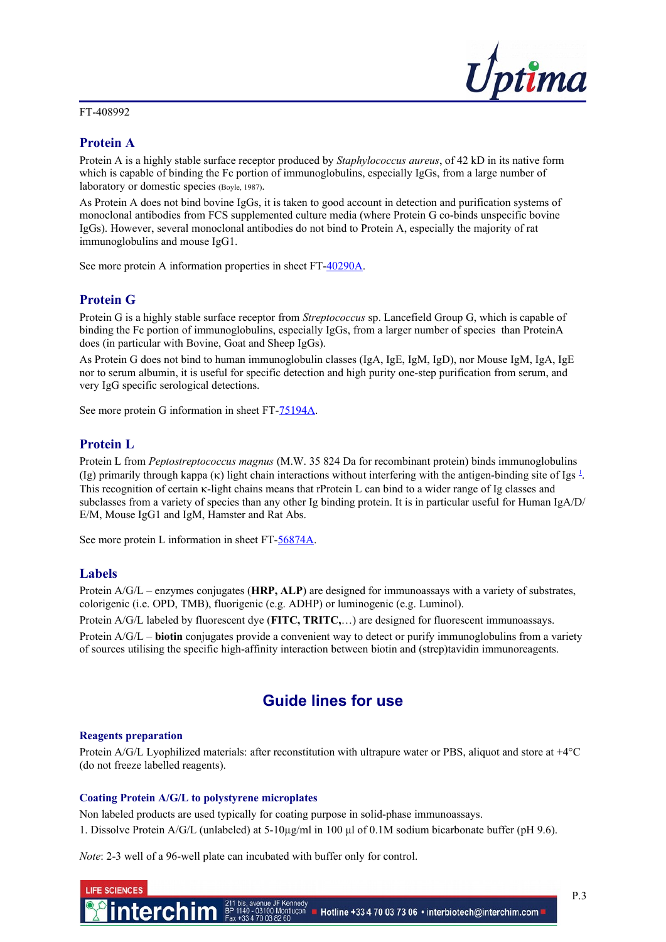### FT-408992



### **Protein A**

Protein A is a highly stable surface receptor produced by *Staphylococcus aureus*, of 42 kD in its native form which is capable of binding the Fc portion of immunoglobulins, especially IgGs, from a large number of laboratory or domestic species (Boyle, 1987).

As Protein A does not bind bovine IgGs, it is taken to good account in detection and purification systems of monoclonal antibodies from FCS supplemented culture media (where Protein G co-binds unspecific bovine IgGs). However, several monoclonal antibodies do not bind to Protein A, especially the majority of rat immunoglobulins and mouse IgG1.

See more protein A information properties in sheet FT[-40290A.](http://www.interchim.fr/ft/4/40290A.pdf)

### **Protein G**

Protein G is a highly stable surface receptor from *Streptococcus* sp. Lancefield Group G, which is capable of binding the Fc portion of immunoglobulins, especially IgGs, from a larger number of species than ProteinA does (in particular with Bovine, Goat and Sheep IgGs).

As Protein G does not bind to human immunoglobulin classes (IgA, IgE, IgM, IgD), nor Mouse IgM, IgA, IgE nor to serum albumin, it is useful for specific detection and high purity one-step purification from serum, and very IgG specific serological detections.

See more protein G information in sheet FT[-75194A.](http://www.interchim.fr/ft/7/75194A.pdf)

### **Protein L**

Protein L from *Peptostreptococcus magnus* (M.W. 35 824 Da for recombinant protein) binds immunoglobulins (Ig) primarily through kappa ( $\kappa$ ) light chain interactions without interfering with the antigen-binding site of Igs  $\frac{1}{2}$  $\frac{1}{2}$  $\frac{1}{2}$ . This recognition of certain  $\kappa$ -light chains means that rProtein L can bind to a wider range of Ig classes and subclasses from a variety of species than any other Ig binding protein. It is in particular useful for Human IgA/D/ E/M, Mouse IgG1 and IgM, Hamster and Rat Abs.

See more protein L information in sheet FT[-56874A.](http://www.interchim.fr/ft/5/56874A.pdf)

### **Labels**

Protein A/G/L – enzymes conjugates (**HRP, ALP**) are designed for immunoassays with a variety of substrates, colorigenic (i.e. OPD, TMB), fluorigenic (e.g. ADHP) or luminogenic (e.g. Luminol).

Protein A/G/L labeled by fluorescent dye (**FITC, TRITC,**…) are designed for fluorescent immunoassays.

Protein A/G/L – **biotin** conjugates provide a convenient way to detect or purify immunoglobulins from a variety of sources utilising the specific high-affinity interaction between biotin and (strep)tavidin immunoreagents.

### **Guide lines for use**

### **Reagents preparation**

Protein A/G/L Lyophilized materials: after reconstitution with ultrapure water or PBS, aliquot and store at +4°C (do not freeze labelled reagents).

### **Coating Protein A/G/L to polystyrene microplates**

Non labeled products are used typically for coating purpose in solid-phase immunoassays. 1. Dissolve Protein A/G/L (unlabeled) at 5-10µg/ml in 100 μl of 0.1M sodium bicarbonate buffer (pH 9.6).

*Note*: 2-3 well of a 96-well plate can incubated with buffer only for control.

| LIFE SCIENCES |                                                                                                                                                                             |  |
|---------------|-----------------------------------------------------------------------------------------------------------------------------------------------------------------------------|--|
|               | <b>Interchim.com</b> BP 140 is, avenue JF Kennedy<br><b>This 1908 11:00 AU 140</b> 203100 Montluçon <b>H</b> Hotline +334 70 03 73 06 • interbiotech@interchim.com <b>H</b> |  |